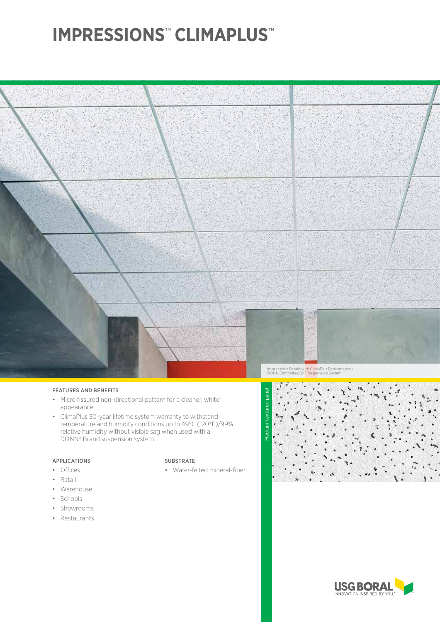# **IMPRESSIONS**™  **CLIMAPLUS**™



### FEATURES AND BENEFITS

- Micro fissured non-directional pattern for a cleaner, whiter appearance
- ClimaPlus 30-year lifetime system warranty to withstand temperature and humidity conditions up to 49°C (120°F)/99% relative humidity without visible sag when used with a DONN® Brand suspension system.

## APPLICATIONS

- Offices
- Retail
- Warehouse
- Schools
- Showrooms
- Restaurants

### SUBSTRATE

• Water-felted mineral-fiber